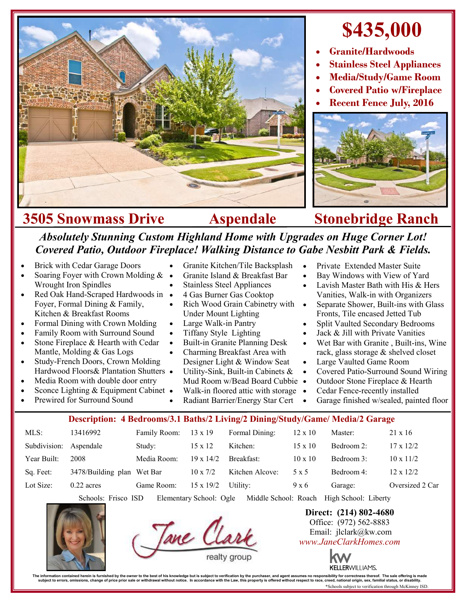

# **\$435,000**

- **Granite/Hardwoods**
- **Stainless Steel Appliances**
- **Media/Study/Game Room**
- **Covered Patio w/Fireplace**
- **Recent Fence July, 2016**



## **3505 Snowmass Drive Aspendale Stonebridge Ranch**

### *Absolutely Stunning Custom Highland Home with Upgrades on Huge Corner Lot! Covered Patio, Outdoor Fireplace! Walking Distance to Gabe Nesbitt Park & Fields.*

- Brick with Cedar Garage Doors
- Soaring Foyer with Crown Molding & Wrought Iron Spindles
- Red Oak Hand-Scraped Hardwoods in Foyer, Formal Dining & Family, Kitchen & Breakfast Rooms
- Formal Dining with Crown Molding
- Family Room with Surround Sound
- Stone Fireplace & Hearth with Cedar Mantle, Molding & Gas Logs
- Study-French Doors, Crown Molding Hardwood Floors & Plantation Shutters •
- Media Room with double door entry
- Sconce Lighting & Equipment Cabinet •
- Prewired for Surround Sound
- Granite Kitchen/Tile Backsplash
- Granite Island & Breakfast Bar
- Stainless Steel Appliances
- 4 Gas Burner Gas Cooktop
- Rich Wood Grain Cabinetry with Under Mount Lighting
- Large Walk-in Pantry
- Tiffany Style Lighting
- Built-in Granite Planning Desk
- Charming Breakfast Area with Designer Light & Window Seat
- Utility-Sink, Built-in Cabinets &
- Mud Room w/Bead Board Cubbie •
- Walk-in floored attic with storage  $\bullet$ Radiant Barrier/Energy Star Cert
- Bay Windows with View of Yard Lavish Master Bath with His & Hers Vanities, Walk-in with Organizers
	- Separate Shower, Built-ins with Glass Fronts, Tile encased Jetted Tub

Private Extended Master Suite

- Split Vaulted Secondary Bedrooms
- Jack & Jill with Private Vanities
- Wet Bar with Granite , Built-ins, Wine rack, glass storage & shelved closet
- Large Vaulted Game Room
- Covered Patio-Surround Sound Wiring
- Outdoor Stone Fireplace & Hearth
- Cedar Fence-recently installed
	- Garage finished w/sealed, painted floor

#### **Description: 4 Bedrooms/3.1 Baths/2 Living/2 Dining/Study/Game/ Media/2 Garage**

| $MLS$ :                | 13416992                   | Family Room: | $13 \times 19$   | Formal Dining:  | $12 \times 10$      | Master:    | $21 \times 16$   |
|------------------------|----------------------------|--------------|------------------|-----------------|---------------------|------------|------------------|
| Subdivision: Aspendale |                            | Study:       | $15 \times 12$   | Kitchen:        | $15 \times 10^{-7}$ | Bedroom 2: | $17 \times 12/2$ |
| Year Built:            | 2008                       | Media Room:  | $19 \times 14/2$ | Breakfast:      | $10 \times 10^{-7}$ | Bedroom 3: | $10 \times 11/2$ |
| Sq. Feet:              | 3478/Building plan Wet Bar |              | $10 \times 7/2$  | Kitchen Alcove: | 5 x 5               | Bedroom 4: | $12 \times 12/2$ |
| Lot Size:              | $0.22$ acres               | Game Room:   | $15 \times 19/2$ | Utility:        | 9 x 6               | Garage:    | Oversized 2 Car  |

Schools: Frisco ISD Elementary School: Ogle Middle School: Roach High School: Liberty





**Direct: (214) 802-4680** Office: (972) 562-8883 Email: jlclark@kw.com *www.JaneClarkHomes.com*



The information contained heren is furnished by the owner to the best of his knowledge but is usuplect to verification by the purchaser, and agent assumes no responsibility for corrections then incompted in accordance with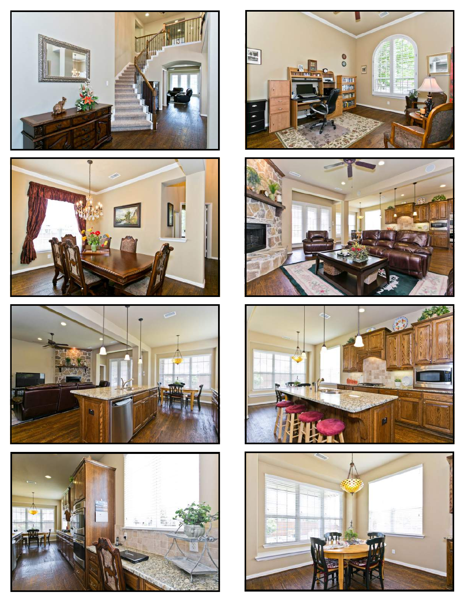













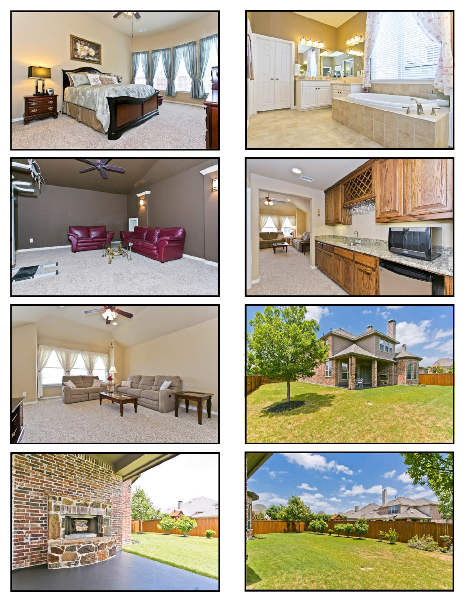